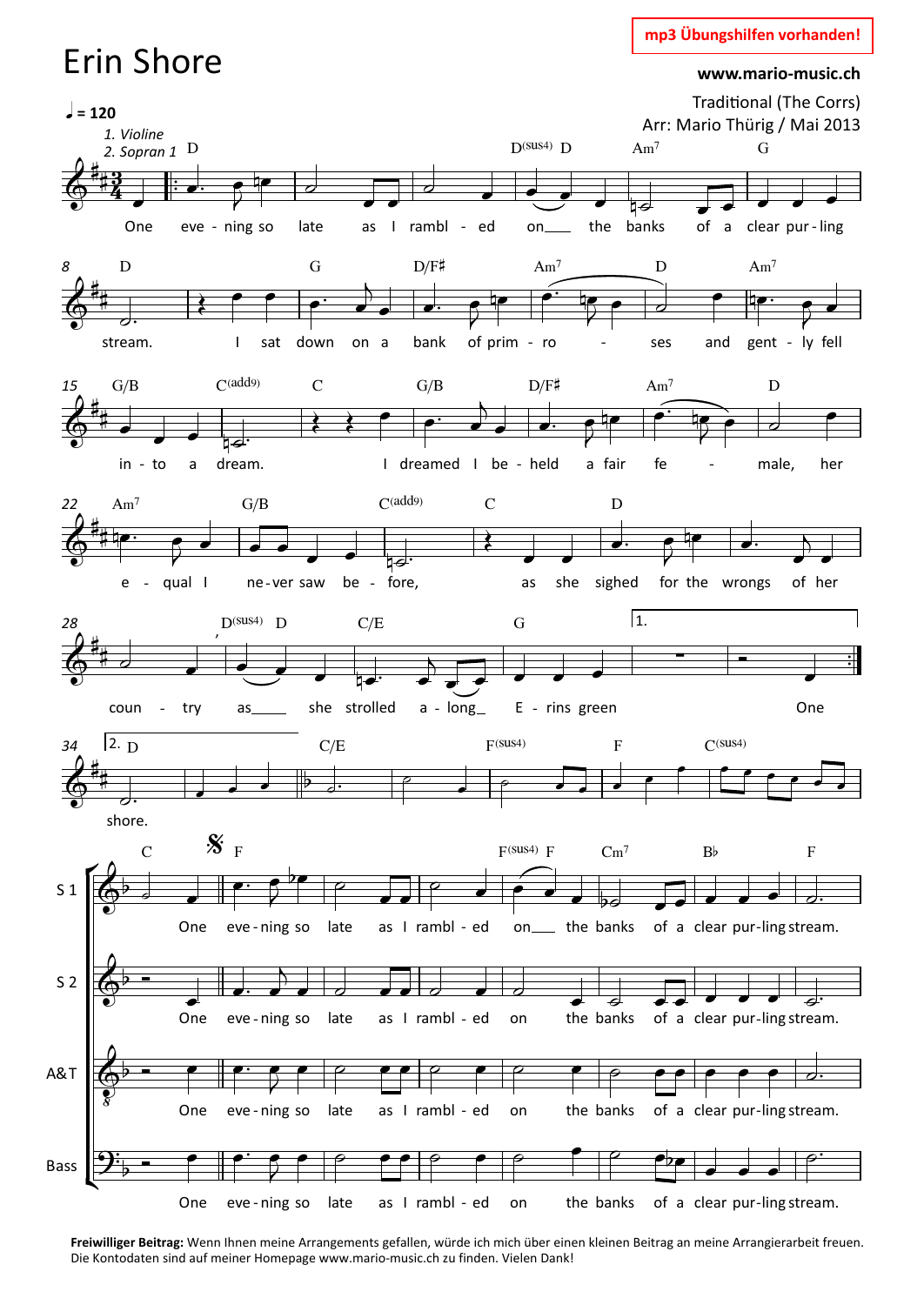## mp3 Übungshilfen vorhanden!

## **Erin Shore**

www.mario-music.ch



Freiwilliger Beitrag: Wenn Ihnen meine Arrangements gefallen, würde ich mich über einen kleinen Beitrag an meine Arrangierarbeit freuen. Die Kontodaten sind auf meiner Homepage www.mario-music.ch zu finden. Vielen Dank!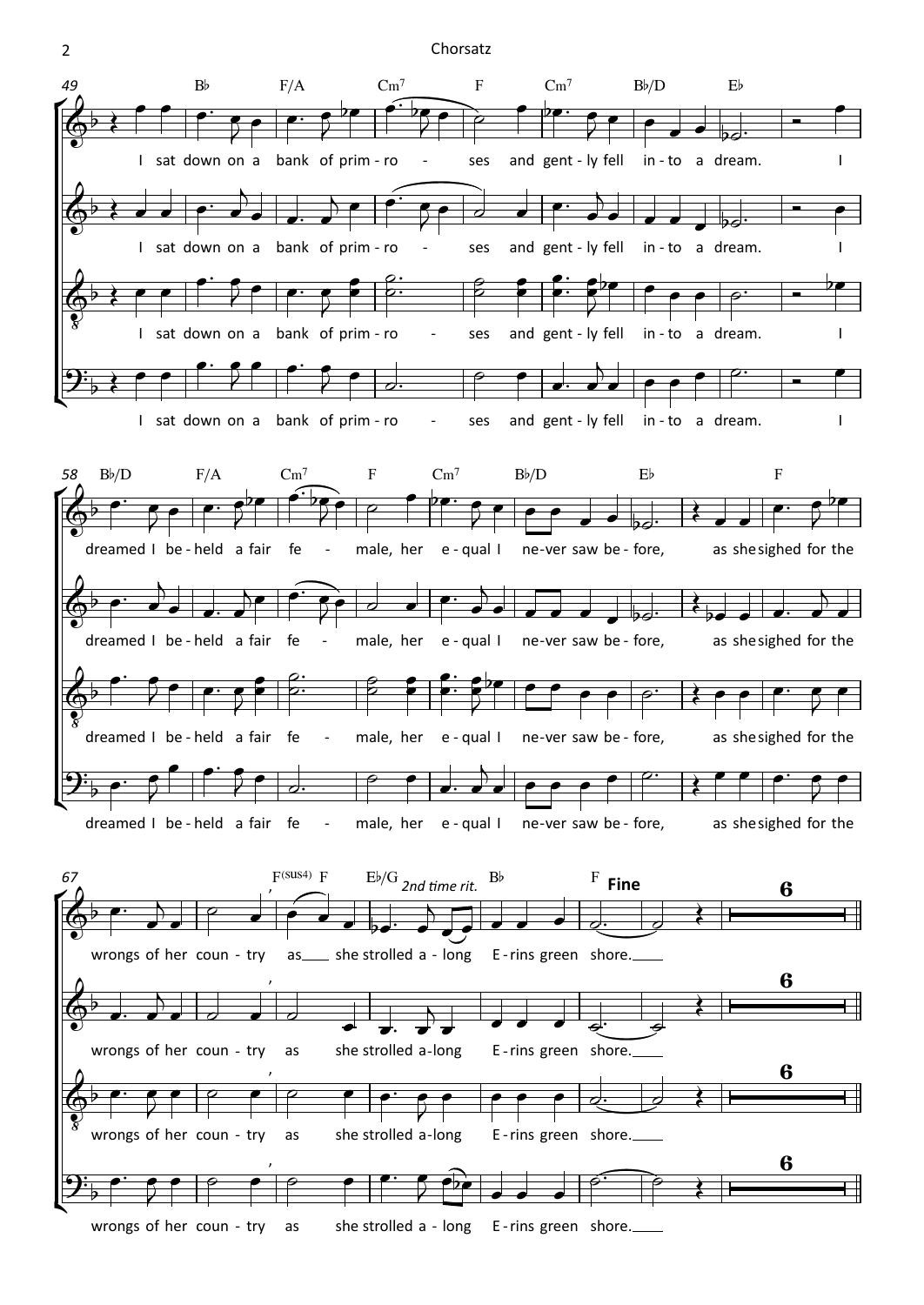## 2 Chorsatz

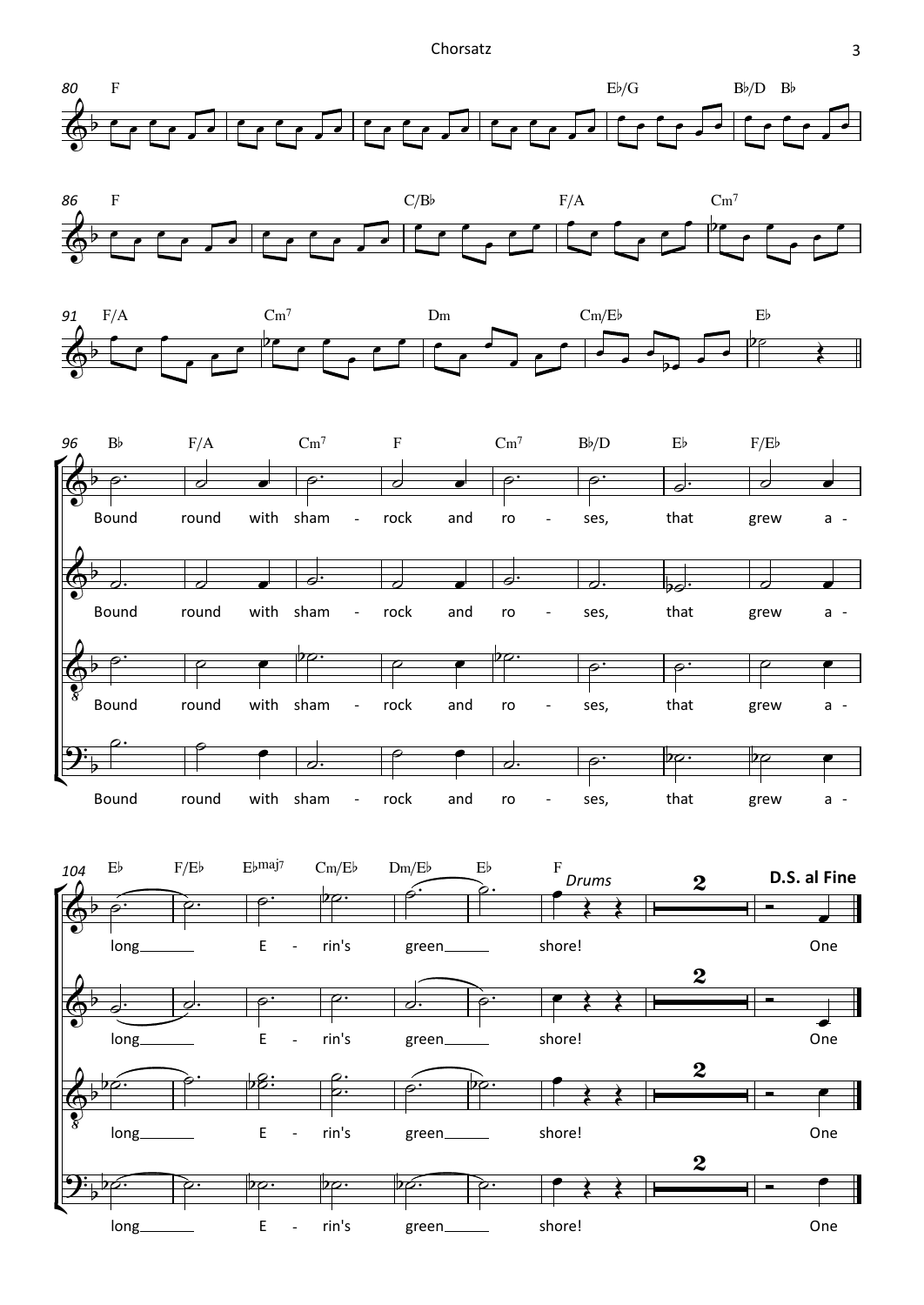







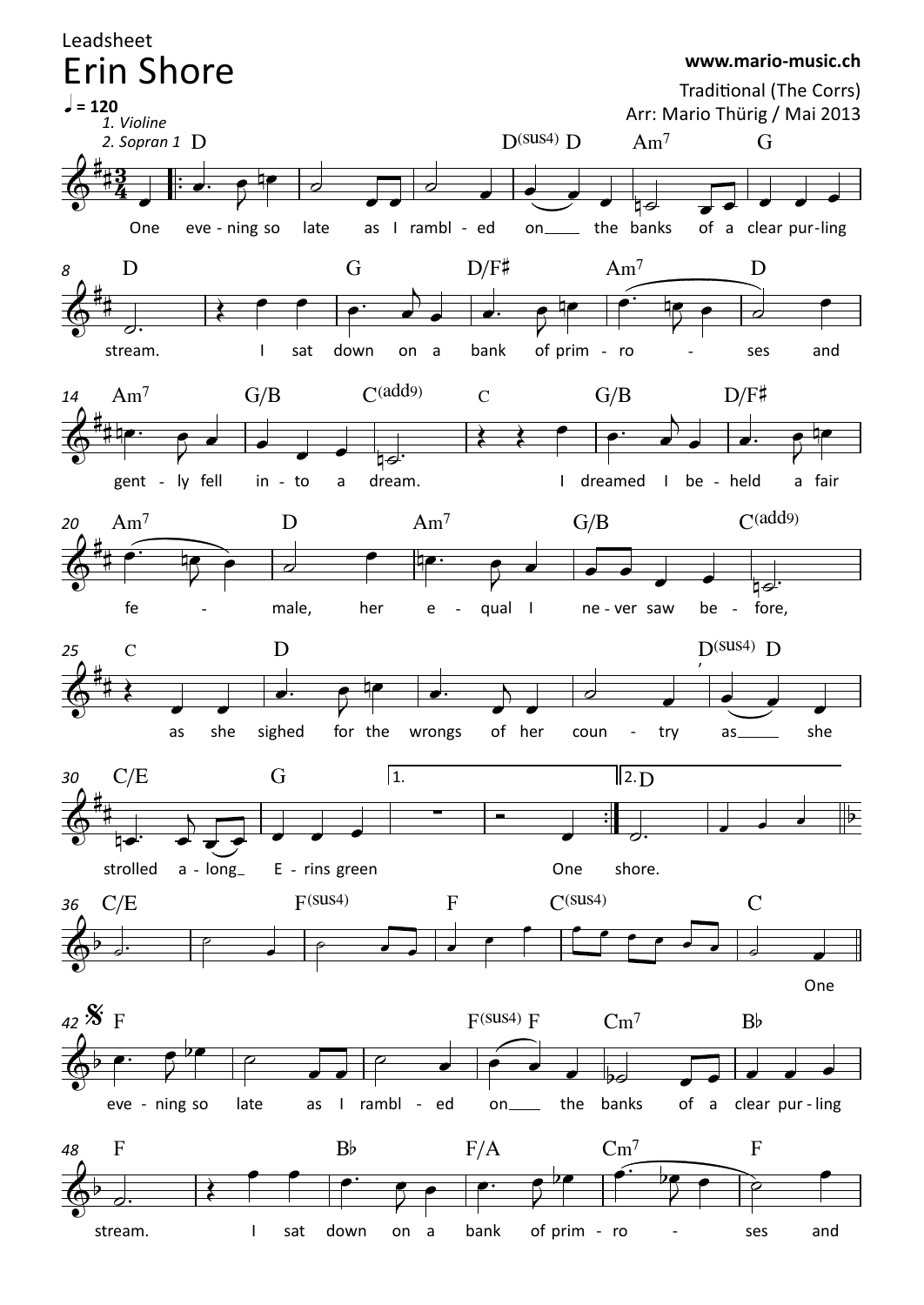